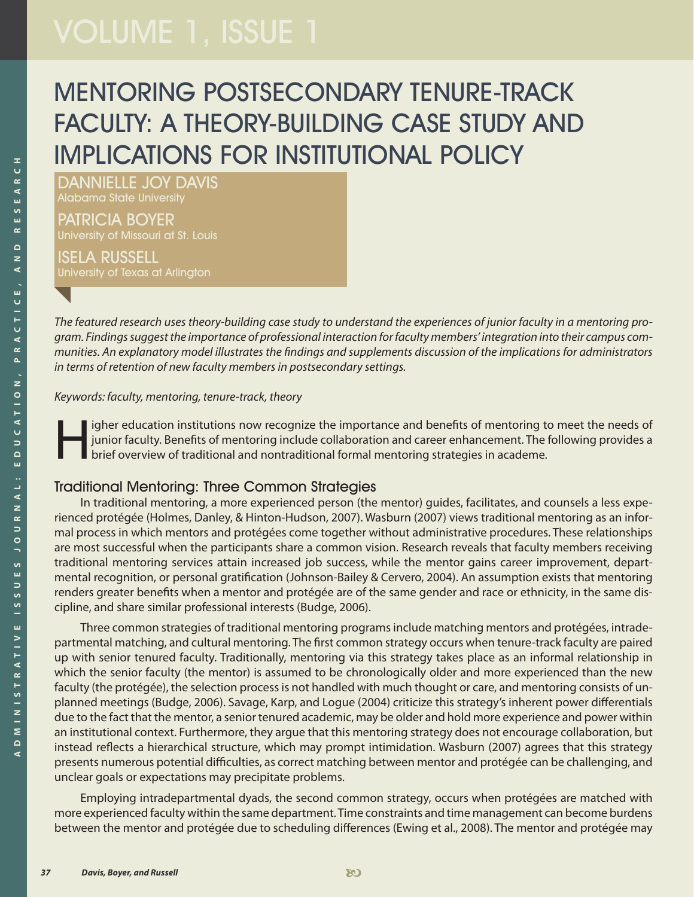# MENTORING POSTSECONDARY TENURE-TRACK FACULTY: A THEORY-BUILDING CASE STUDY AND IMPLICATIONS FOR INSTITUTIONAL POLICY

DANNIELLE JOY DAVIS Alabama State University

PATRICIA BOYER University of Missouri at St. Louis

ISELA RUSSELL University of Texas at Arlington

*The featured research uses theory-building case study to understand the experiences of junior faculty in a mentoring program. Findings suggest the importance of professional interaction for faculty members' integration into their campus communities. An explanatory model illustrates the findings and supplements discussion of the implications for administrators in terms of retention of new faculty members in postsecondary settings.*

*Keywords: faculty, mentoring, tenure-track, theory*

igher education institutions now recognize the importance and benefits of mentoring to meet the needs of<br>junior faculty. Benefits of mentoring include collaboration and career enhancement. The following provides a<br>brief ov junior faculty. Benefits of mentoring include collaboration and career enhancement. The following provides a brief overview of traditional and nontraditional formal mentoring strategies in academe.

#### Traditional Mentoring: Three Common Strategies

In traditional mentoring, a more experienced person (the mentor) guides, facilitates, and counsels a less experienced protégée (Holmes, Danley, & Hinton-Hudson, 2007). Wasburn (2007) views traditional mentoring as an informal process in which mentors and protégées come together without administrative procedures. These relationships are most successful when the participants share a common vision. Research reveals that faculty members receiving traditional mentoring services attain increased job success, while the mentor gains career improvement, departmental recognition, or personal gratification (Johnson-Bailey & Cervero, 2004). An assumption exists that mentoring renders greater benefits when a mentor and protégée are of the same gender and race or ethnicity, in the same discipline, and share similar professional interests (Budge, 2006).

Three common strategies of traditional mentoring programs include matching mentors and protégées, intradepartmental matching, and cultural mentoring. The first common strategy occurs when tenure-track faculty are paired up with senior tenured faculty. Traditionally, mentoring via this strategy takes place as an informal relationship in which the senior faculty (the mentor) is assumed to be chronologically older and more experienced than the new faculty (the protégée), the selection process is not handled with much thought or care, and mentoring consists of unplanned meetings (Budge, 2006). Savage, Karp, and Logue (2004) criticize this strategy's inherent power differentials due to the fact that the mentor, a senior tenured academic, may be older and hold more experience and power within an institutional context. Furthermore, they argue that this mentoring strategy does not encourage collaboration, but instead reflects a hierarchical structure, which may prompt intimidation. Wasburn (2007) agrees that this strategy presents numerous potential difficulties, as correct matching between mentor and protégée can be challenging, and unclear goals or expectations may precipitate problems.

Employing intradepartmental dyads, the second common strategy, occurs when protégées are matched with more experienced faculty within the same department. Time constraints and time management can become burdens between the mentor and protégée due to scheduling differences (Ewing et al., 2008). The mentor and protégée may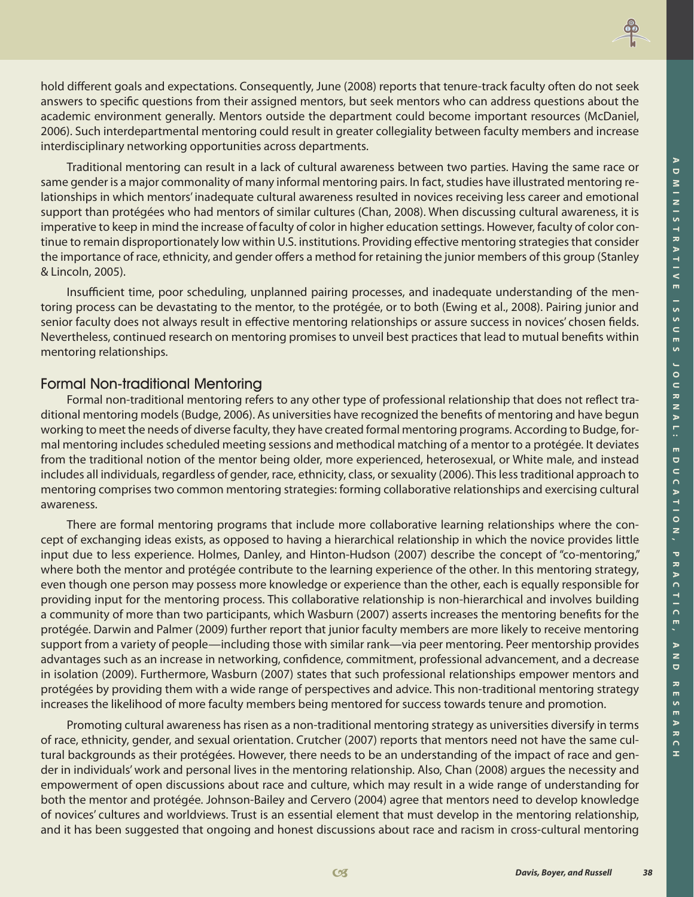**H**



hold different goals and expectations. Consequently, June (2008) reports that tenure-track faculty often do not seek answers to specific questions from their assigned mentors, but seek mentors who can address questions about the academic environment generally. Mentors outside the department could become important resources (McDaniel, 2006). Such interdepartmental mentoring could result in greater collegiality between faculty members and increase interdisciplinary networking opportunities across departments.

Traditional mentoring can result in a lack of cultural awareness between two parties. Having the same race or same gender is a major commonality of many informal mentoring pairs. In fact, studies have illustrated mentoring relationships in which mentors' inadequate cultural awareness resulted in novices receiving less career and emotional support than protégées who had mentors of similar cultures (Chan, 2008). When discussing cultural awareness, it is imperative to keep in mind the increase of faculty of color in higher education settings. However, faculty of color continue to remain disproportionately low within U.S. institutions. Providing effective mentoring strategies that consider the importance of race, ethnicity, and gender offers a method for retaining the junior members of this group (Stanley & Lincoln, 2005).

Insufficient time, poor scheduling, unplanned pairing processes, and inadequate understanding of the mentoring process can be devastating to the mentor, to the protégée, or to both (Ewing et al., 2008). Pairing junior and senior faculty does not always result in effective mentoring relationships or assure success in novices' chosen fields. Nevertheless, continued research on mentoring promises to unveil best practices that lead to mutual benefits within mentoring relationships.

#### Formal Non-traditional Mentoring

Formal non-traditional mentoring refers to any other type of professional relationship that does not reflect traditional mentoring models (Budge, 2006). As universities have recognized the benefits of mentoring and have begun working to meet the needs of diverse faculty, they have created formal mentoring programs. According to Budge, formal mentoring includes scheduled meeting sessions and methodical matching of a mentor to a protégée. It deviates from the traditional notion of the mentor being older, more experienced, heterosexual, or White male, and instead includes all individuals, regardless of gender, race, ethnicity, class, or sexuality (2006). This less traditional approach to mentoring comprises two common mentoring strategies: forming collaborative relationships and exercising cultural awareness.

There are formal mentoring programs that include more collaborative learning relationships where the concept of exchanging ideas exists, as opposed to having a hierarchical relationship in which the novice provides little input due to less experience. Holmes, Danley, and Hinton-Hudson (2007) describe the concept of "co-mentoring," where both the mentor and protégée contribute to the learning experience of the other. In this mentoring strategy, even though one person may possess more knowledge or experience than the other, each is equally responsible for providing input for the mentoring process. This collaborative relationship is non-hierarchical and involves building a community of more than two participants, which Wasburn (2007) asserts increases the mentoring benefits for the protégée. Darwin and Palmer (2009) further report that junior faculty members are more likely to receive mentoring support from a variety of people—including those with similar rank—via peer mentoring. Peer mentorship provides advantages such as an increase in networking, confidence, commitment, professional advancement, and a decrease in isolation (2009). Furthermore, Wasburn (2007) states that such professional relationships empower mentors and protégées by providing them with a wide range of perspectives and advice. This non-traditional mentoring strategy increases the likelihood of more faculty members being mentored for success towards tenure and promotion.

Promoting cultural awareness has risen as a non-traditional mentoring strategy as universities diversify in terms of race, ethnicity, gender, and sexual orientation. Crutcher (2007) reports that mentors need not have the same cultural backgrounds as their protégées. However, there needs to be an understanding of the impact of race and gender in individuals' work and personal lives in the mentoring relationship. Also, Chan (2008) argues the necessity and empowerment of open discussions about race and culture, which may result in a wide range of understanding for both the mentor and protégée. Johnson-Bailey and Cervero (2004) agree that mentors need to develop knowledge of novices' cultures and worldviews. Trust is an essential element that must develop in the mentoring relationship, and it has been suggested that ongoing and honest discussions about race and racism in cross-cultural mentoring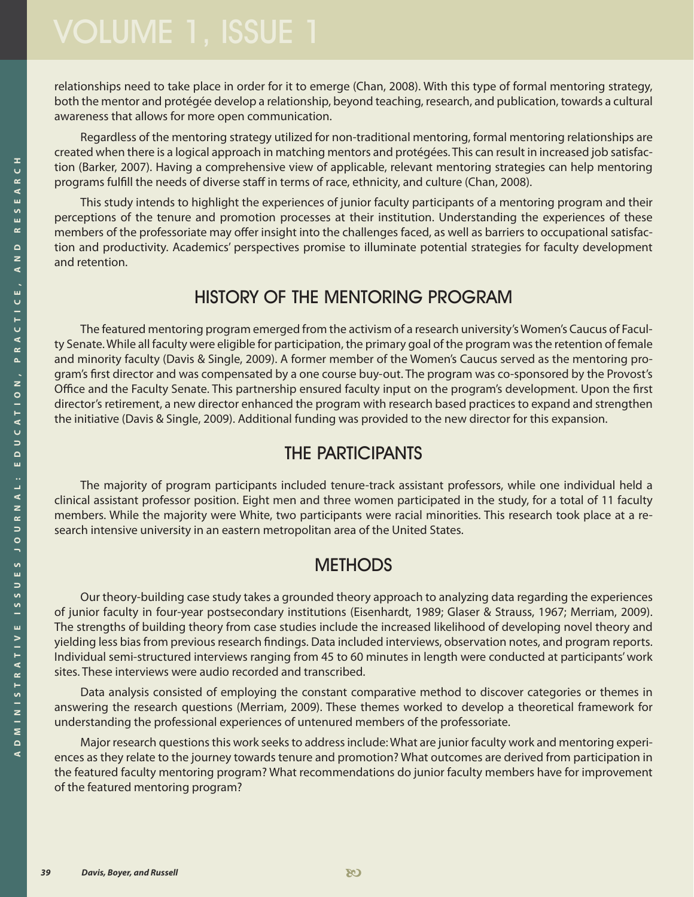relationships need to take place in order for it to emerge (Chan, 2008). With this type of formal mentoring strategy, both the mentor and protégée develop a relationship, beyond teaching, research, and publication, towards a cultural awareness that allows for more open communication.

Regardless of the mentoring strategy utilized for non-traditional mentoring, formal mentoring relationships are created when there is a logical approach in matching mentors and protégées. This can result in increased job satisfaction (Barker, 2007). Having a comprehensive view of applicable, relevant mentoring strategies can help mentoring programs fulfill the needs of diverse staff in terms of race, ethnicity, and culture (Chan, 2008).

This study intends to highlight the experiences of junior faculty participants of a mentoring program and their perceptions of the tenure and promotion processes at their institution. Understanding the experiences of these members of the professoriate may offer insight into the challenges faced, as well as barriers to occupational satisfaction and productivity. Academics' perspectives promise to illuminate potential strategies for faculty development and retention.

# HISTORY OF THE MENTORING PROGRAM

The featured mentoring program emerged from the activism of a research university's Women's Caucus of Faculty Senate. While all faculty were eligible for participation, the primary goal of the program was the retention of female and minority faculty (Davis & Single, 2009). A former member of the Women's Caucus served as the mentoring program's first director and was compensated by a one course buy-out. The program was co-sponsored by the Provost's Office and the Faculty Senate. This partnership ensured faculty input on the program's development. Upon the first director's retirement, a new director enhanced the program with research based practices to expand and strengthen the initiative (Davis & Single, 2009). Additional funding was provided to the new director for this expansion.

# THE PARTICIPANTS

The majority of program participants included tenure-track assistant professors, while one individual held a clinical assistant professor position. Eight men and three women participated in the study, for a total of 11 faculty members. While the majority were White, two participants were racial minorities. This research took place at a research intensive university in an eastern metropolitan area of the United States.

# **METHODS**

Our theory-building case study takes a grounded theory approach to analyzing data regarding the experiences of junior faculty in four-year postsecondary institutions (Eisenhardt, 1989; Glaser & Strauss, 1967; Merriam, 2009). The strengths of building theory from case studies include the increased likelihood of developing novel theory and yielding less bias from previous research findings. Data included interviews, observation notes, and program reports. Individual semi-structured interviews ranging from 45 to 60 minutes in length were conducted at participants' work sites. These interviews were audio recorded and transcribed.

Data analysis consisted of employing the constant comparative method to discover categories or themes in answering the research questions (Merriam, 2009). These themes worked to develop a theoretical framework for understanding the professional experiences of untenured members of the professoriate.

Major research questions this work seeks to address include: What are junior faculty work and mentoring experiences as they relate to the journey towards tenure and promotion? What outcomes are derived from participation in the featured faculty mentoring program? What recommendations do junior faculty members have for improvement of the featured mentoring program?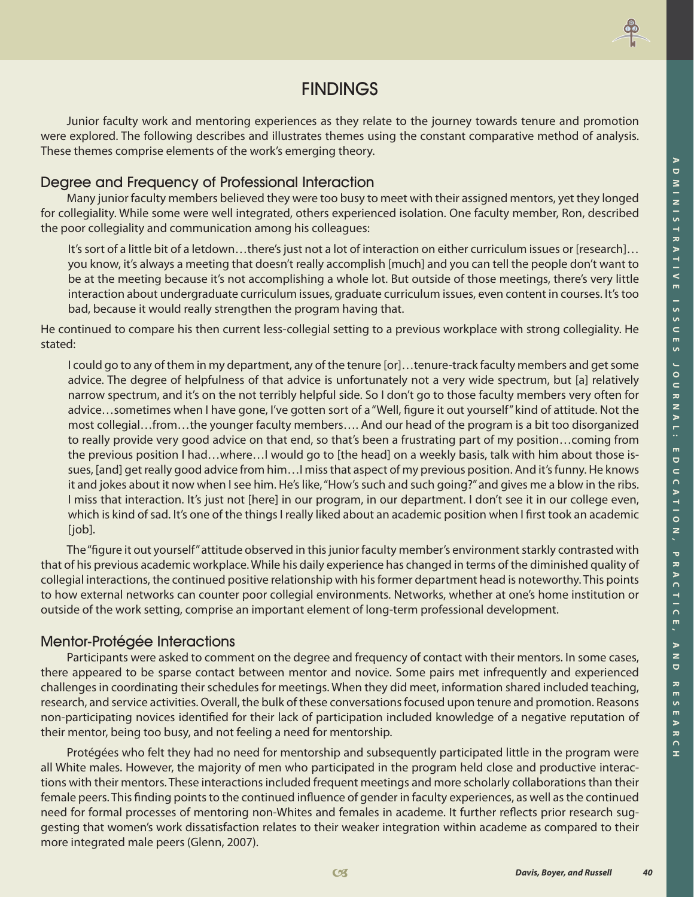

## FINDINGS

Junior faculty work and mentoring experiences as they relate to the journey towards tenure and promotion were explored. The following describes and illustrates themes using the constant comparative method of analysis. These themes comprise elements of the work's emerging theory.

### Degree and Frequency of Professional Interaction

Many junior faculty members believed they were too busy to meet with their assigned mentors, yet they longed for collegiality. While some were well integrated, others experienced isolation. One faculty member, Ron, described the poor collegiality and communication among his colleagues:

It's sort of a little bit of a letdown…there's just not a lot of interaction on either curriculum issues or [research]… you know, it's always a meeting that doesn't really accomplish [much] and you can tell the people don't want to be at the meeting because it's not accomplishing a whole lot. But outside of those meetings, there's very little interaction about undergraduate curriculum issues, graduate curriculum issues, even content in courses. It's too bad, because it would really strengthen the program having that.

He continued to compare his then current less-collegial setting to a previous workplace with strong collegiality. He stated:

I could go to any of them in my department, any of the tenure [or]…tenure-track faculty members and get some advice. The degree of helpfulness of that advice is unfortunately not a very wide spectrum, but [a] relatively narrow spectrum, and it's on the not terribly helpful side. So I don't go to those faculty members very often for advice…sometimes when I have gone, I've gotten sort of a "Well, figure it out yourself" kind of attitude. Not the most collegial…from…the younger faculty members…. And our head of the program is a bit too disorganized to really provide very good advice on that end, so that's been a frustrating part of my position…coming from the previous position I had…where…I would go to [the head] on a weekly basis, talk with him about those issues, [and] get really good advice from him…I miss that aspect of my previous position. And it's funny. He knows it and jokes about it now when I see him. He's like, "How's such and such going?" and gives me a blow in the ribs. I miss that interaction. It's just not [here] in our program, in our department. I don't see it in our college even, which is kind of sad. It's one of the things I really liked about an academic position when I first took an academic  $[job].$ 

The "figure it out yourself" attitude observed in this junior faculty member's environment starkly contrasted with that of his previous academic workplace. While his daily experience has changed in terms of the diminished quality of collegial interactions, the continued positive relationship with his former department head is noteworthy. This points to how external networks can counter poor collegial environments. Networks, whether at one's home institution or outside of the work setting, comprise an important element of long-term professional development.

### Mentor-Protégée Interactions

Participants were asked to comment on the degree and frequency of contact with their mentors. In some cases, there appeared to be sparse contact between mentor and novice. Some pairs met infrequently and experienced challenges in coordinating their schedules for meetings. When they did meet, information shared included teaching, research, and service activities. Overall, the bulk of these conversations focused upon tenure and promotion. Reasons non-participating novices identified for their lack of participation included knowledge of a negative reputation of their mentor, being too busy, and not feeling a need for mentorship.

Protégées who felt they had no need for mentorship and subsequently participated little in the program were all White males. However, the majority of men who participated in the program held close and productive interactions with their mentors. These interactions included frequent meetings and more scholarly collaborations than their female peers. This finding points to the continued influence of gender in faculty experiences, as well as the continued need for formal processes of mentoring non-Whites and females in academe. It further reflects prior research suggesting that women's work dissatisfaction relates to their weaker integration within academe as compared to their more integrated male peers (Glenn, 2007).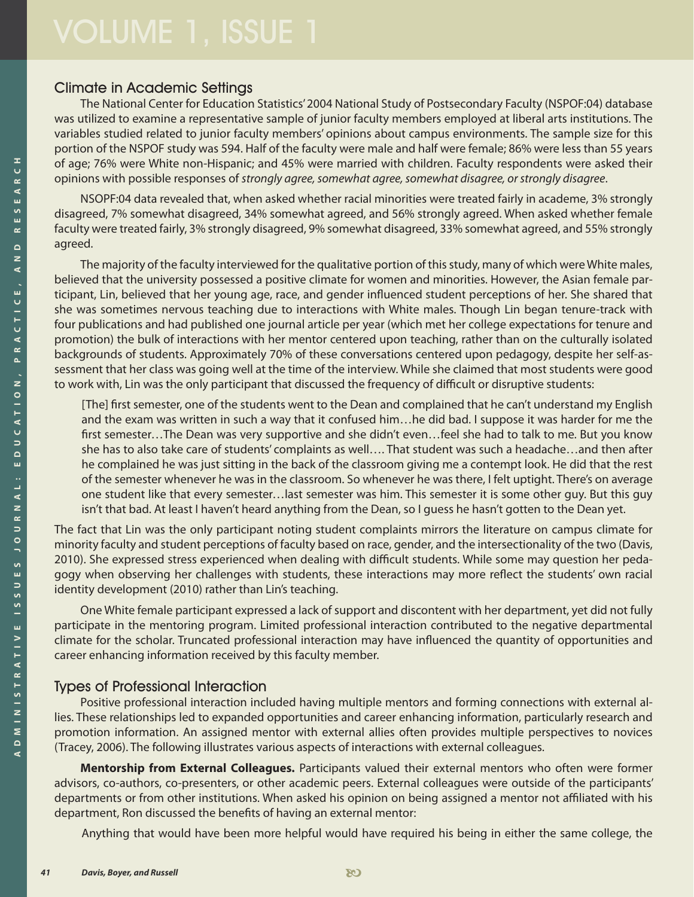#### Climate in Academic Settings

The National Center for Education Statistics' 2004 National Study of Postsecondary Faculty (NSPOF:04) database was utilized to examine a representative sample of junior faculty members employed at liberal arts institutions. The variables studied related to junior faculty members' opinions about campus environments. The sample size for this portion of the NSPOF study was 594. Half of the faculty were male and half were female; 86% were less than 55 years of age; 76% were White non-Hispanic; and 45% were married with children. Faculty respondents were asked their opinions with possible responses of *strongly agree, somewhat agree, somewhat disagree, or strongly disagree*.

NSOPF:04 data revealed that, when asked whether racial minorities were treated fairly in academe, 3% strongly disagreed, 7% somewhat disagreed, 34% somewhat agreed, and 56% strongly agreed. When asked whether female faculty were treated fairly, 3% strongly disagreed, 9% somewhat disagreed, 33% somewhat agreed, and 55% strongly agreed.

The majority of the faculty interviewed for the qualitative portion of this study, many of which were White males, believed that the university possessed a positive climate for women and minorities. However, the Asian female participant, Lin, believed that her young age, race, and gender influenced student perceptions of her. She shared that she was sometimes nervous teaching due to interactions with White males. Though Lin began tenure-track with four publications and had published one journal article per year (which met her college expectations for tenure and promotion) the bulk of interactions with her mentor centered upon teaching, rather than on the culturally isolated backgrounds of students. Approximately 70% of these conversations centered upon pedagogy, despite her self-assessment that her class was going well at the time of the interview. While she claimed that most students were good to work with, Lin was the only participant that discussed the frequency of difficult or disruptive students:

[The] first semester, one of the students went to the Dean and complained that he can't understand my English and the exam was written in such a way that it confused him…he did bad. I suppose it was harder for me the first semester…The Dean was very supportive and she didn't even…feel she had to talk to me. But you know she has to also take care of students' complaints as well…. That student was such a headache…and then after he complained he was just sitting in the back of the classroom giving me a contempt look. He did that the rest of the semester whenever he was in the classroom. So whenever he was there, I felt uptight. There's on average one student like that every semester…last semester was him. This semester it is some other guy. But this guy isn't that bad. At least I haven't heard anything from the Dean, so I guess he hasn't gotten to the Dean yet.

The fact that Lin was the only participant noting student complaints mirrors the literature on campus climate for minority faculty and student perceptions of faculty based on race, gender, and the intersectionality of the two (Davis, 2010). She expressed stress experienced when dealing with difficult students. While some may question her pedagogy when observing her challenges with students, these interactions may more reflect the students' own racial identity development (2010) rather than Lin's teaching.

One White female participant expressed a lack of support and discontent with her department, yet did not fully participate in the mentoring program. Limited professional interaction contributed to the negative departmental climate for the scholar. Truncated professional interaction may have influenced the quantity of opportunities and career enhancing information received by this faculty member.

### Types of Professional Interaction

Positive professional interaction included having multiple mentors and forming connections with external allies. These relationships led to expanded opportunities and career enhancing information, particularly research and promotion information. An assigned mentor with external allies often provides multiple perspectives to novices (Tracey, 2006). The following illustrates various aspects of interactions with external colleagues.

**Mentorship from External Colleagues.** Participants valued their external mentors who often were former advisors, co-authors, co-presenters, or other academic peers. External colleagues were outside of the participants' departments or from other institutions. When asked his opinion on being assigned a mentor not affiliated with his department, Ron discussed the benefits of having an external mentor:

Anything that would have been more helpful would have required his being in either the same college, the

≖<br>ں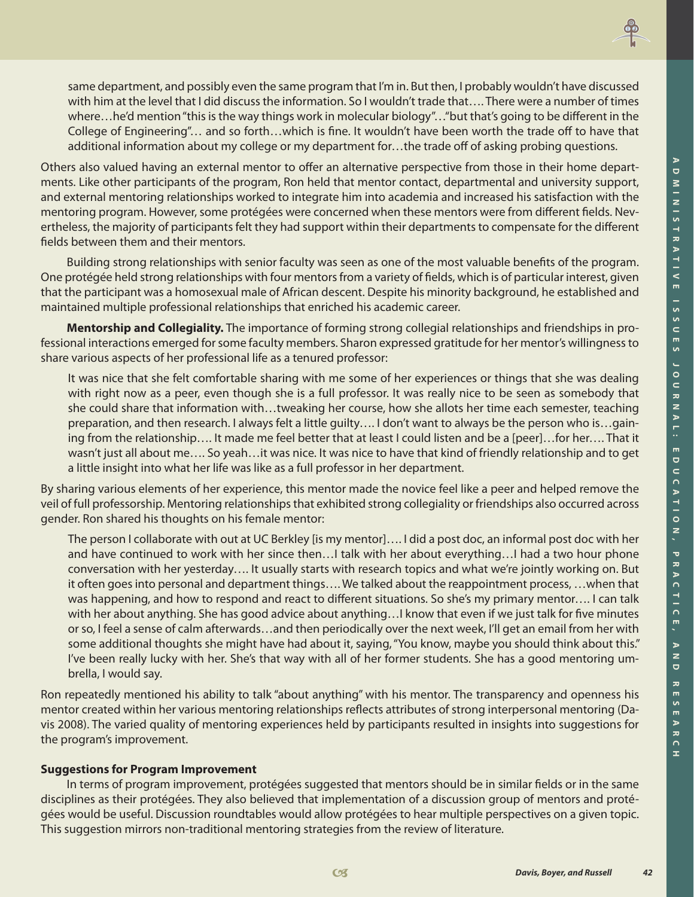**H**



same department, and possibly even the same program that I'm in. But then, I probably wouldn't have discussed with him at the level that I did discuss the information. So I wouldn't trade that…. There were a number of times where…he'd mention "this is the way things work in molecular biology"…"but that's going to be different in the College of Engineering"… and so forth…which is fine. It wouldn't have been worth the trade off to have that additional information about my college or my department for…the trade off of asking probing questions.

Others also valued having an external mentor to offer an alternative perspective from those in their home departments. Like other participants of the program, Ron held that mentor contact, departmental and university support, and external mentoring relationships worked to integrate him into academia and increased his satisfaction with the mentoring program. However, some protégées were concerned when these mentors were from different fields. Nevertheless, the majority of participants felt they had support within their departments to compensate for the different fields between them and their mentors.

Building strong relationships with senior faculty was seen as one of the most valuable benefits of the program. One protégée held strong relationships with four mentors from a variety of fields, which is of particular interest, given that the participant was a homosexual male of African descent. Despite his minority background, he established and maintained multiple professional relationships that enriched his academic career.

**Mentorship and Collegiality.** The importance of forming strong collegial relationships and friendships in professional interactions emerged for some faculty members. Sharon expressed gratitude for her mentor's willingness to share various aspects of her professional life as a tenured professor:

It was nice that she felt comfortable sharing with me some of her experiences or things that she was dealing with right now as a peer, even though she is a full professor. It was really nice to be seen as somebody that she could share that information with…tweaking her course, how she allots her time each semester, teaching preparation, and then research. I always felt a little guilty…. I don't want to always be the person who is…gaining from the relationship…. It made me feel better that at least I could listen and be a [peer]…for her…. That it wasn't just all about me…. So yeah…it was nice. It was nice to have that kind of friendly relationship and to get a little insight into what her life was like as a full professor in her department.

By sharing various elements of her experience, this mentor made the novice feel like a peer and helped remove the veil of full professorship. Mentoring relationships that exhibited strong collegiality or friendships also occurred across gender. Ron shared his thoughts on his female mentor:

The person I collaborate with out at UC Berkley [is my mentor]…. I did a post doc, an informal post doc with her and have continued to work with her since then... I talk with her about everything... I had a two hour phone conversation with her yesterday…. It usually starts with research topics and what we're jointly working on. But it often goes into personal and department things…. We talked about the reappointment process, …when that was happening, and how to respond and react to different situations. So she's my primary mentor.... I can talk with her about anything. She has good advice about anything…I know that even if we just talk for five minutes or so, I feel a sense of calm afterwards…and then periodically over the next week, I'll get an email from her with some additional thoughts she might have had about it, saying, "You know, maybe you should think about this." I've been really lucky with her. She's that way with all of her former students. She has a good mentoring umbrella, I would say.

Ron repeatedly mentioned his ability to talk "about anything" with his mentor. The transparency and openness his mentor created within her various mentoring relationships reflects attributes of strong interpersonal mentoring (Davis 2008). The varied quality of mentoring experiences held by participants resulted in insights into suggestions for the program's improvement.

#### **Suggestions for Program Improvement**

In terms of program improvement, protégées suggested that mentors should be in similar fields or in the same disciplines as their protégées. They also believed that implementation of a discussion group of mentors and protégées would be useful. Discussion roundtables would allow protégées to hear multiple perspectives on a given topic. This suggestion mirrors non-traditional mentoring strategies from the review of literature.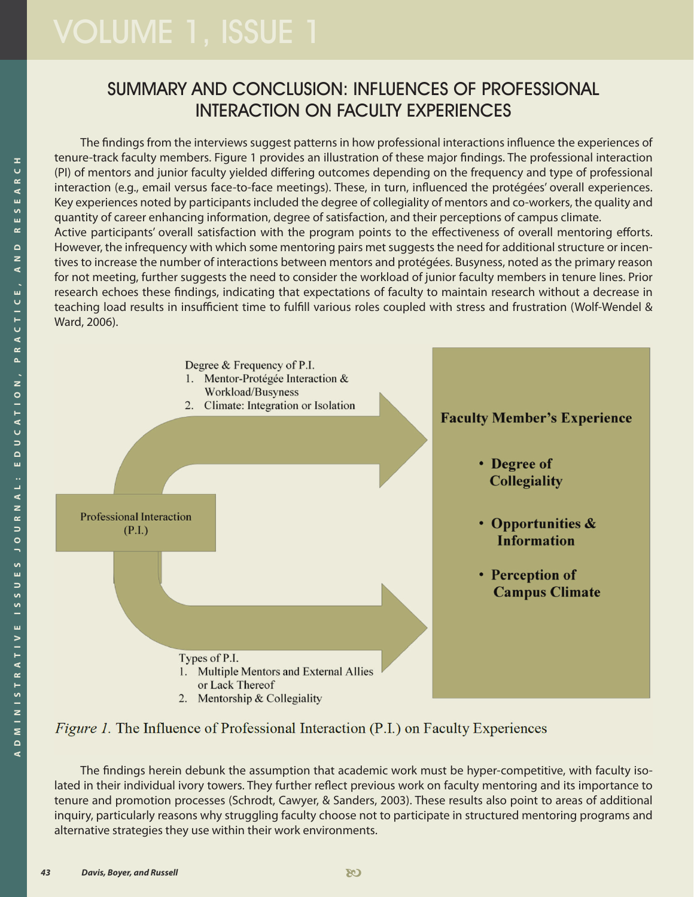# SUMMARY AND CONCLUSION: INFLUENCES OF PROFESSIONAL INTERACTION ON FACULTY EXPERIENCES

The findings from the interviews suggest patterns in how professional interactions influence the experiences of tenure-track faculty members. Figure 1 provides an illustration of these major findings. The professional interaction (PI) of mentors and junior faculty yielded differing outcomes depending on the frequency and type of professional interaction (e.g., email versus face-to-face meetings). These, in turn, influenced the protégées' overall experiences. Key experiences noted by participants included the degree of collegiality of mentors and co-workers, the quality and quantity of career enhancing information, degree of satisfaction, and their perceptions of campus climate. Active participants' overall satisfaction with the program points to the effectiveness of overall mentoring efforts. However, the infrequency with which some mentoring pairs met suggests the need for additional structure or incentives to increase the number of interactions between mentors and protégées. Busyness, noted as the primary reason for not meeting, further suggests the need to consider the workload of junior faculty members in tenure lines. Prior research echoes these findings, indicating that expectations of faculty to maintain research without a decrease in teaching load results in insufficient time to fulfill various roles coupled with stress and frustration (Wolf-Wendel & Ward, 2006).



*Figure 1.* The Influence of Professional Interaction (P.I.) on Faculty Experiences

The findings herein debunk the assumption that academic work must be hyper-competitive, with faculty isolated in their individual ivory towers. They further reflect previous work on faculty mentoring and its importance to tenure and promotion processes (Schrodt, Cawyer, & Sanders, 2003). These results also point to areas of additional inquiry, particularly reasons why struggling faculty choose not to participate in structured mentoring programs and alternative strategies they use within their work environments.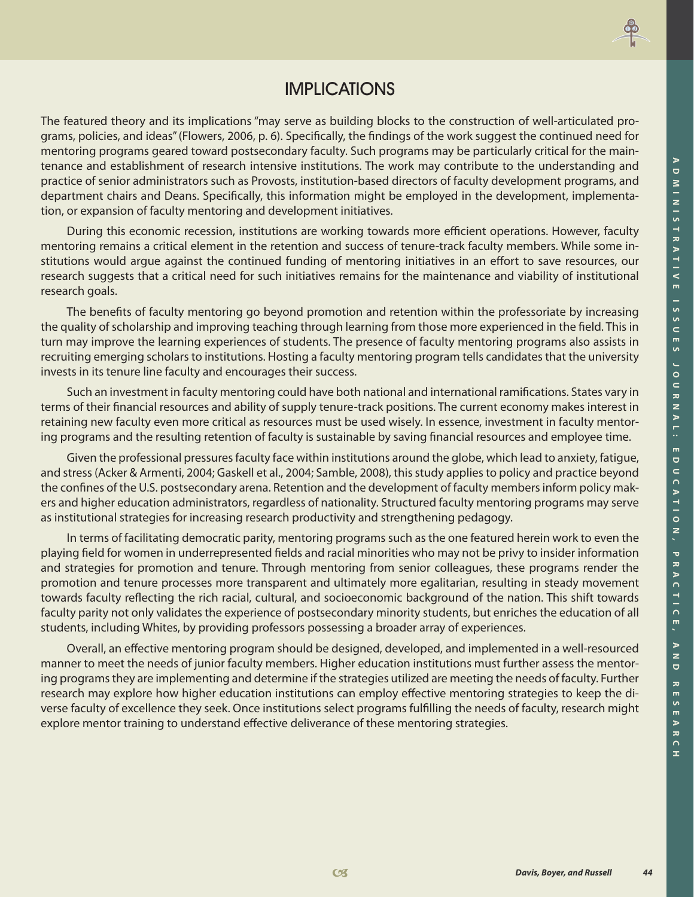

# IMPLICATIONS

The featured theory and its implications "may serve as building blocks to the construction of well-articulated programs, policies, and ideas" (Flowers, 2006, p. 6). Specifically, the findings of the work suggest the continued need for mentoring programs geared toward postsecondary faculty. Such programs may be particularly critical for the maintenance and establishment of research intensive institutions. The work may contribute to the understanding and practice of senior administrators such as Provosts, institution-based directors of faculty development programs, and department chairs and Deans. Specifically, this information might be employed in the development, implementation, or expansion of faculty mentoring and development initiatives.

During this economic recession, institutions are working towards more efficient operations. However, faculty mentoring remains a critical element in the retention and success of tenure-track faculty members. While some institutions would argue against the continued funding of mentoring initiatives in an effort to save resources, our research suggests that a critical need for such initiatives remains for the maintenance and viability of institutional research goals.

The benefits of faculty mentoring go beyond promotion and retention within the professoriate by increasing the quality of scholarship and improving teaching through learning from those more experienced in the field. This in turn may improve the learning experiences of students. The presence of faculty mentoring programs also assists in recruiting emerging scholars to institutions. Hosting a faculty mentoring program tells candidates that the university invests in its tenure line faculty and encourages their success.

Such an investment in faculty mentoring could have both national and international ramifications. States vary in terms of their financial resources and ability of supply tenure-track positions. The current economy makes interest in retaining new faculty even more critical as resources must be used wisely. In essence, investment in faculty mentoring programs and the resulting retention of faculty is sustainable by saving financial resources and employee time.

Given the professional pressures faculty face within institutions around the globe, which lead to anxiety, fatigue, and stress (Acker & Armenti, 2004; Gaskell et al., 2004; Samble, 2008), this study applies to policy and practice beyond the confines of the U.S. postsecondary arena. Retention and the development of faculty members inform policy makers and higher education administrators, regardless of nationality. Structured faculty mentoring programs may serve as institutional strategies for increasing research productivity and strengthening pedagogy.

In terms of facilitating democratic parity, mentoring programs such as the one featured herein work to even the playing field for women in underrepresented fields and racial minorities who may not be privy to insider information and strategies for promotion and tenure. Through mentoring from senior colleagues, these programs render the promotion and tenure processes more transparent and ultimately more egalitarian, resulting in steady movement towards faculty reflecting the rich racial, cultural, and socioeconomic background of the nation. This shift towards faculty parity not only validates the experience of postsecondary minority students, but enriches the education of all students, including Whites, by providing professors possessing a broader array of experiences.

Overall, an effective mentoring program should be designed, developed, and implemented in a well-resourced manner to meet the needs of junior faculty members. Higher education institutions must further assess the mentoring programs they are implementing and determine if the strategies utilized are meeting the needs of faculty. Further research may explore how higher education institutions can employ effective mentoring strategies to keep the diverse faculty of excellence they seek. Once institutions select programs fulfilling the needs of faculty, research might explore mentor training to understand effective deliverance of these mentoring strategies.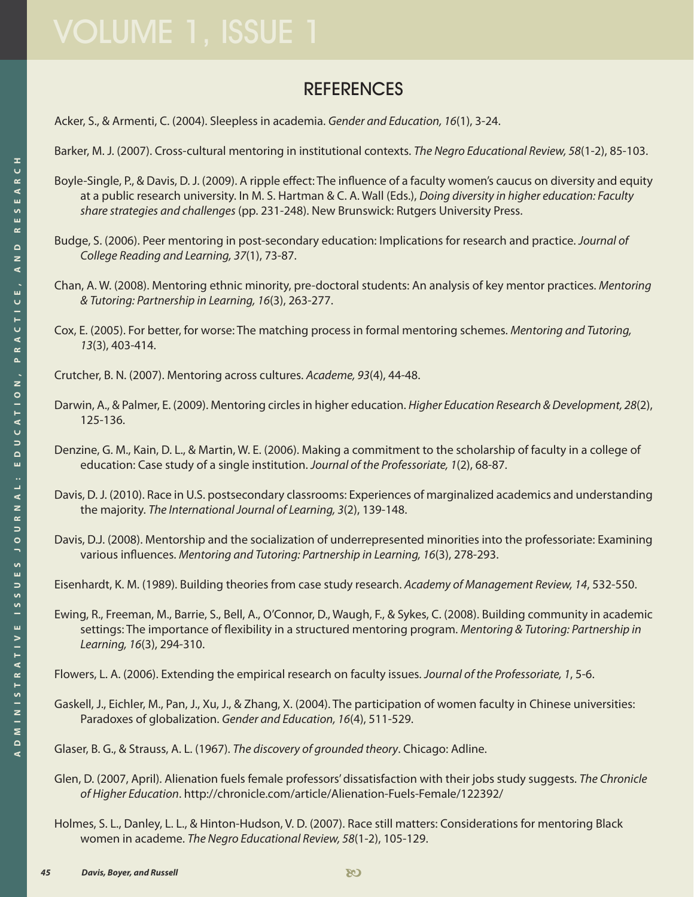# **REFERENCES**

Acker, S., & Armenti, C. (2004). Sleepless in academia. *Gender and Education, 16*(1), 3-24.

Barker, M. J. (2007). Cross-cultural mentoring in institutional contexts. *The Negro Educational Review, 58*(1-2), 85-103.

- Boyle-Single, P., & Davis, D. J. (2009). A ripple effect: The influence of a faculty women's caucus on diversity and equity at a public research university. In M. S. Hartman & C. A. Wall (Eds.), *Doing diversity in higher education: Faculty share strategies and challenges* (pp. 231-248). New Brunswick: Rutgers University Press.
- Budge, S. (2006). Peer mentoring in post-secondary education: Implications for research and practice. *Journal of College Reading and Learning, 37*(1), 73-87.
- Chan, A. W. (2008). Mentoring ethnic minority, pre-doctoral students: An analysis of key mentor practices. *Mentoring & Tutoring: Partnership in Learning, 16*(3), 263-277.
- Cox, E. (2005). For better, for worse: The matching process in formal mentoring schemes. *Mentoring and Tutoring, 13*(3), 403-414.

Crutcher, B. N. (2007). Mentoring across cultures. *Academe, 93*(4), 44-48.

- Darwin, A., & Palmer, E. (2009). Mentoring circles in higher education. *Higher Education Research & Development, 28*(2), 125-136.
- Denzine, G. M., Kain, D. L., & Martin, W. E. (2006). Making a commitment to the scholarship of faculty in a college of education: Case study of a single institution. *Journal of the Professoriate, 1*(2), 68-87.
- Davis, D. J. (2010). Race in U.S. postsecondary classrooms: Experiences of marginalized academics and understanding the majority. *The International Journal of Learning, 3*(2), 139-148.
- Davis, D.J. (2008). Mentorship and the socialization of underrepresented minorities into the professoriate: Examining various influences. *Mentoring and Tutoring: Partnership in Learning, 16*(3), 278-293.

Eisenhardt, K. M. (1989). Building theories from case study research. *Academy of Management Review, 14*, 532-550.

Ewing, R., Freeman, M., Barrie, S., Bell, A., O'Connor, D., Waugh, F., & Sykes, C. (2008). Building community in academic settings: The importance of flexibility in a structured mentoring program. *Mentoring & Tutoring: Partnership in Learning, 16*(3), 294-310.

Flowers, L. A. (2006). Extending the empirical research on faculty issues. *Journal of the Professoriate, 1*, 5-6.

Gaskell, J., Eichler, M., Pan, J., Xu, J., & Zhang, X. (2004). The participation of women faculty in Chinese universities: Paradoxes of globalization. *Gender and Education, 16*(4), 511-529.

Glaser, B. G., & Strauss, A. L. (1967). *The discovery of grounded theory*. Chicago: Adline.

- Glen, D. (2007, April). Alienation fuels female professors' dissatisfaction with their jobs study suggests. *The Chronicle of Higher Education*.<http://chronicle.com/article/Alienation-Fuels-Female/122392/>
- Holmes, S. L., Danley, L. L., & Hinton-Hudson, V. D. (2007). Race still matters: Considerations for mentoring Black women in academe. *The Negro Educational Review, 58*(1-2), 105-129.